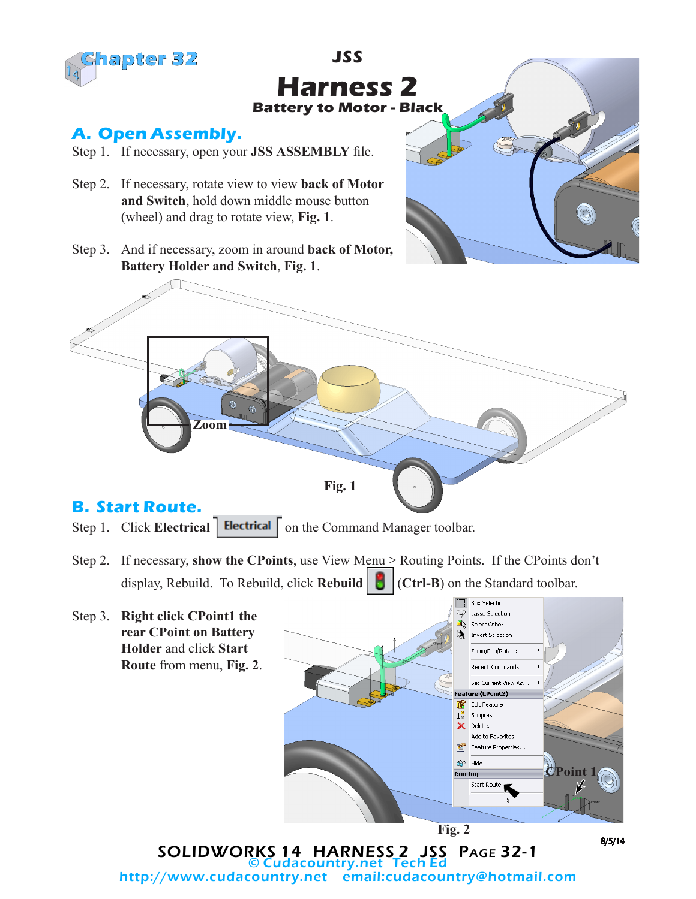

## **JSS Harness 2 Battery to Motor - Black**

## **A. Open Assembly.**

- Step 1. If necessary, open your **JSS ASSEMBLY** file.
- Step 2. If necessary, rotate view to view **back of Motor and Switch**, hold down middle mouse button (wheel) and drag to rotate view, **Fig. 1**.
- Step 3. And if necessary, zoom in around **back of Motor, Battery Holder and Switch**, **Fig. 1**.



Step 1. Click **Electrical Electrical** on the Command Manager toolbar.

- Step 2. If necessary, **show the CPoints**, use View Menu > Routing Points. If the CPoints don't display, Rebuild. To Rebuild, click **Rebuild** (**Ctrl-B**) on the Standard toolbar.
- Box Selection Lasso Selection Step 3. **Right click CPoint1 the**  Æ Select Other **rear CPoint on Battery**  Invert Selection **Holder** and click **Start**  Zoom/Pan/Rotate **Route** from menu, **Fig. 2**. Recent Commands Set Current View As. Feature (CPoint2) Edit Feature 18 Suppress  $\boldsymbol{\mathsf{x}}$ Delete... Add to Favorites 會 Feature Properties... 6 Hide **CPoint 1** Routing Start Route **Fig. 2** 8/5/14

SOLIDWORKS 14 HARNESS 2 JSS Page 32-1 **Cudacountry.net Tech E** http://www.cudacountry.net email:cudacountry@hotmail.com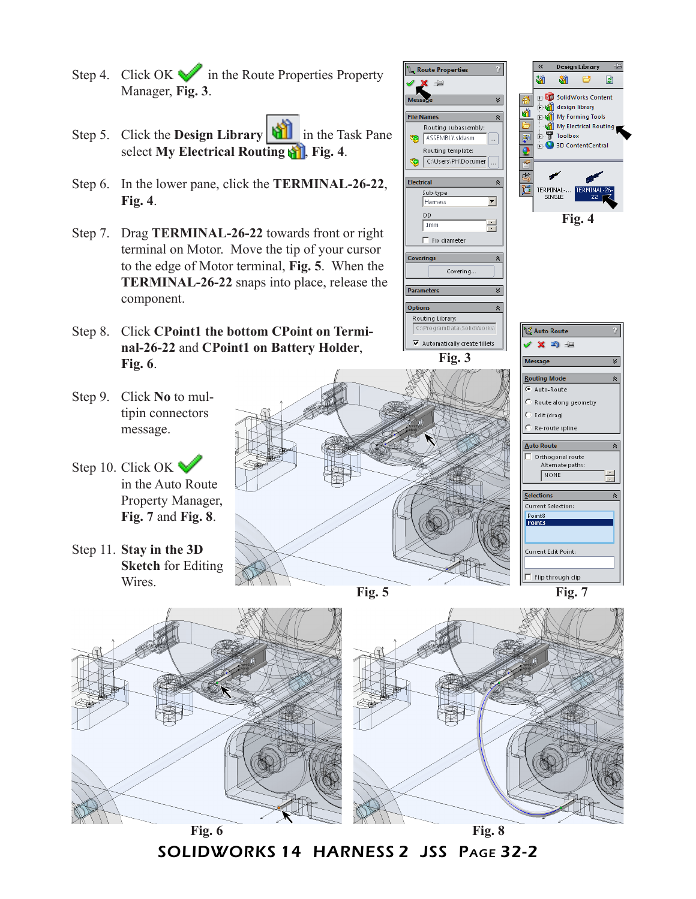- Step 4. Click OK  $\blacktriangleright$  in the Route Properties Property Manager, **Fig. 3**.
- Step 5. Click the **Design Library** in the Task Pane select **My Electrical Routing**  $\mathbf{F}$ , Fig. 4.
- Step 6. In the lower pane, click the **TERMINAL-26-22**, **Fig. 4**.
- Step 7. Drag **TERMINAL-26-22** towards front or right terminal on Motor. Move the tip of your cursor to the edge of Motor terminal, **Fig. 5**. When the **TERMINAL-26-22** snaps into place, release the component.
- Step 8. Click **CPoint1 the bottom CPoint on Terminal-26-22** and **CPoint1 on Battery Holder**, **Fig. 6**.
- Step 9. Click **No** to multipin connectors message.
- Step 10. Click OK in the Auto Route Property Manager, **Fig. 7** and **Fig. 8**.
- Step 11. **Stay in the 3D Sketch** for Editing Wires.



**Route Properties** 



**Fig. 7**



SOLIDWORKS 14 HARNESS 2 JSS Page 32-2

 $\blacksquare$  Flip through dip

**Fig. 4**

**Design Library** 

**EN SolidWorks Content** design library

Toolbox

SINGLE

My Electrical Routing

团

M) 腳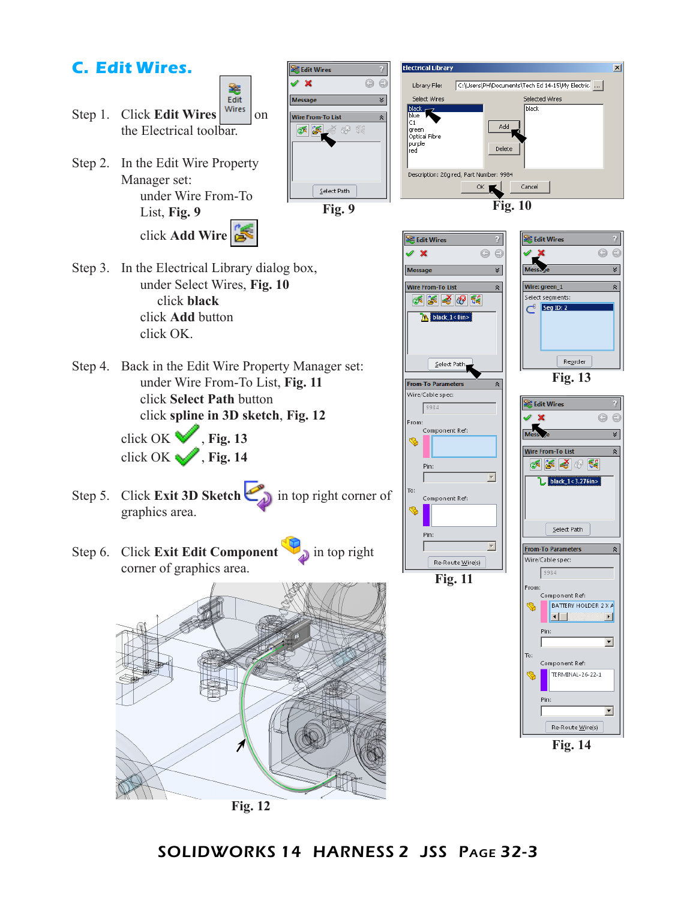## **C. Edit Wires.**



箞

Step 2. In the Edit Wire Property Manager set: under Wire From-To List, **Fig. 9** click **Add Wire**



**Electrical Library** 

Library File:

Select Wires

black<br>black<br>blue

green<br>Optical Fibre purple<br>red

Description: 20g red, Part Number: 9984

lct.

- Step 3. In the Electrical Library dialog box, under Select Wires, **Fig. 10** click **black** click **Add** button click OK.
- Step 4. Back in the Edit Wire Property Manager set: under Wire From-To List, **Fig. 11** click **Select Path** button click **spline in 3D sketch**, **Fig. 12**

click OK  $\blacktriangledown$ , Fig. 13 click OK , **Fig. 14** 

- Step 5. Click **Exit 3D Sketch** in top right corner of graphics area.
- Step 6. Click **Exit Edit Component** in top right corner of graphics area.





C:\Users\PH\Documents\Tech Ed 14-15\My Electric. ...

Add

Delete

Selected Wires

**Fig. 11**

 $R$ e-Route Wire(s)



 $\overline{\mathbf{x}}$ 

SOLIDWORKS 14 HARNESS 2 JSS Page 32-3